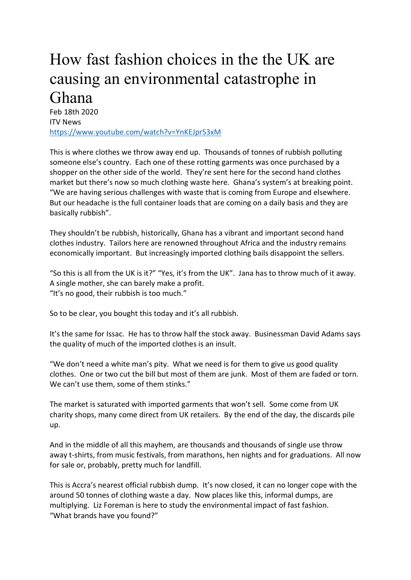## How fast fashion choices in the the UK are causing an environmental catastrophe in Ghana

Feb 18th 2020 ITV News https://www.youtube.com/watch?v=YnKEJprS3xM

This is where clothes we throw away end up. Thousands of tonnes of rubbish polluting someone else's country. Each one of these rotting garments was once purchased by a shopper on the other side of the world. They're sent here for the second hand clothes market but there's now so much clothing waste here. Ghana's system's at breaking point. "We are having serious challenges with waste that is coming from Europe and elsewhere. But our headache is the full container loads that are coming on a daily basis and they are basically rubbish".

They shouldn't be rubbish, historically, Ghana has a vibrant and important second hand clothes industry. Tailors here are renowned throughout Africa and the industry remains economically important. But increasingly imported clothing bails disappoint the sellers.

"So this is all from the UK is it?" "Yes, it's from the UK". Jana has to throw much of it away. A single mother, she can barely make a profit. "It's no good, their rubbish is too much."

So to be clear, you bought this today and it's all rubbish.

It's the same for Issac. He has to throw half the stock away. Businessman David Adams says the quality of much of the imported clothes is an insult.

"We don't need a white man's pity. What we need is for them to give us good quality clothes. One or two cut the bill but most of them are junk. Most of them are faded or torn. We can't use them, some of them stinks."

The market is saturated with imported garments that won't sell. Some come from UK charity shops, many come direct from UK retailers. By the end of the day, the discards pile up.

And in the middle of all this mayhem, are thousands and thousands of single use throw away t-shirts, from music festivals, from marathons, hen nights and for graduations. All now for sale or, probably, pretty much for landfill.

This is Accra's nearest official rubbish dump. It's now closed, it can no longer cope with the around 50 tonnes of clothing waste a day. Now places like this, informal dumps, are multiplying. Liz Foreman is here to study the environmental impact of fast fashion. "What brands have you found?"